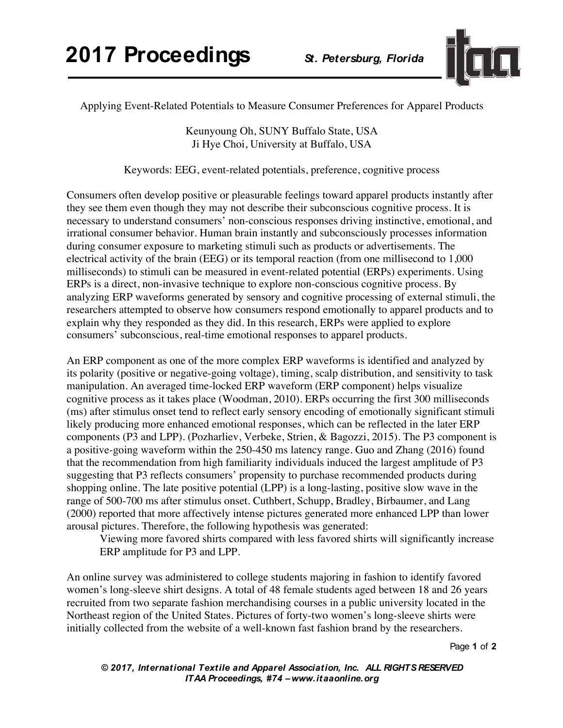

Applying Event-Related Potentials to Measure Consumer Preferences for Apparel Products

Keunyoung Oh, SUNY Buffalo State, USA Ji Hye Choi, University at Buffalo, USA

Keywords: EEG, event-related potentials, preference, cognitive process

Consumers often develop positive or pleasurable feelings toward apparel products instantly after they see them even though they may not describe their subconscious cognitive process. It is necessary to understand consumers' non-conscious responses driving instinctive, emotional, and irrational consumer behavior. Human brain instantly and subconsciously processes information during consumer exposure to marketing stimuli such as products or advertisements. The electrical activity of the brain (EEG) or its temporal reaction (from one millisecond to 1,000 milliseconds) to stimuli can be measured in event-related potential (ERPs) experiments. Using ERPs is a direct, non-invasive technique to explore non-conscious cognitive process. By analyzing ERP waveforms generated by sensory and cognitive processing of external stimuli, the researchers attempted to observe how consumers respond emotionally to apparel products and to explain why they responded as they did. In this research, ERPs were applied to explore consumers' subconscious, real-time emotional responses to apparel products.

An ERP component as one of the more complex ERP waveforms is identified and analyzed by its polarity (positive or negative-going voltage), timing, scalp distribution, and sensitivity to task manipulation. An averaged time-locked ERP waveform (ERP component) helps visualize cognitive process as it takes place (Woodman, 2010). ERPs occurring the first 300 milliseconds (ms) after stimulus onset tend to reflect early sensory encoding of emotionally significant stimuli likely producing more enhanced emotional responses, which can be reflected in the later ERP components (P3 and LPP). (Pozharliev, Verbeke, Strien, & Bagozzi, 2015). The P3 component is a positive-going waveform within the 250-450 ms latency range. Guo and Zhang (2016) found that the recommendation from high familiarity individuals induced the largest amplitude of P3 suggesting that P3 reflects consumers' propensity to purchase recommended products during shopping online. The late positive potential (LPP) is a long-lasting, positive slow wave in the range of 500-700 ms after stimulus onset. Cuthbert, Schupp, Bradley, Birbaumer, and Lang (2000) reported that more affectively intense pictures generated more enhanced LPP than lower arousal pictures. Therefore, the following hypothesis was generated:

Viewing more favored shirts compared with less favored shirts will significantly increase ERP amplitude for P3 and LPP.

An online survey was administered to college students majoring in fashion to identify favored women's long-sleeve shirt designs. A total of 48 female students aged between 18 and 26 years recruited from two separate fashion merchandising courses in a public university located in the Northeast region of the United States. Pictures of forty-two women's long-sleeve shirts were initially collected from the website of a well-known fast fashion brand by the researchers.

*© 2017, International Textile and Apparel Association, Inc. ALL RIGHTS RESERVED ITAA Proceedings, #74 –www.itaaonline.org*